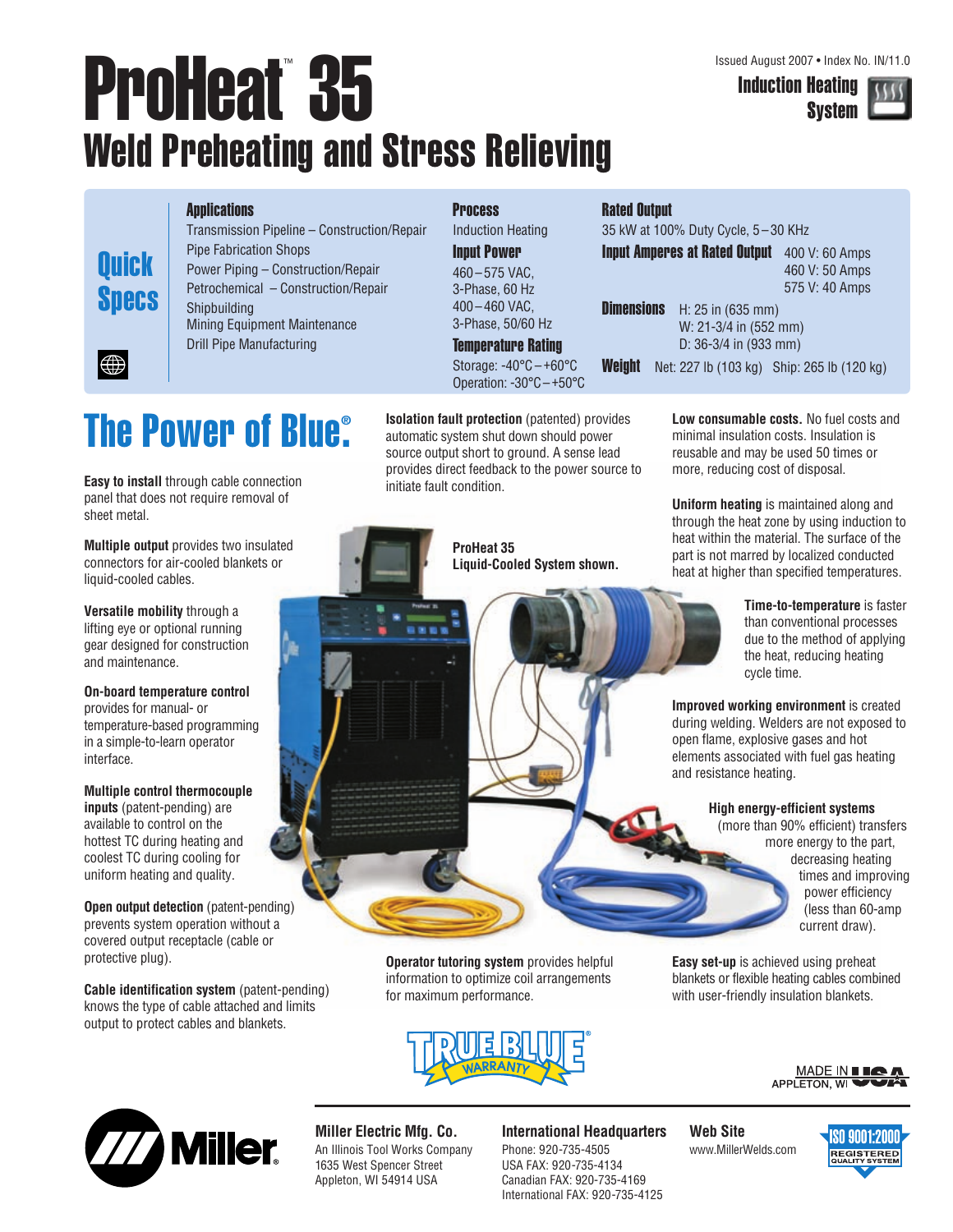# ProHeat<sup>™</sup> 35 Weld Preheating and Stress Relieving

Induction Heating System



#### **Applications**

**Quick** 

**Specs** 

|∰

Transmission Pipeline – Construction/Repair Pipe Fabrication Shops Power Piping – Construction/Repair Petrochemical – Construction/Repair Shipbuilding Mining Equipment Maintenance Drill Pipe Manufacturing

### **Process**

Induction Heating Input Power 460 – 575 VAC, 3-Phase, 60 Hz 400 – 460 VAC, 3-Phase, 50/60 Hz

### Temperature Rating

Storage: -40°C – +60°C Operation: -30°C – +50°C

# **The Power of Blue® .**

**Easy to install** through cable connection panel that does not require removal of sheet metal.

**Multiple output** provides two insulated connectors for air-cooled blankets or liquid-cooled cables.

**Versatile mobility** through a lifting eye or optional running gear designed for construction and maintenance.

**On-board temperature control**  provides for manual- or temperature-based programming in a simple-to-learn operator interface.

**Multiple control thermocouple inputs** (patent-pending) are available to control on the hottest TC during heating and coolest TC during cooling for uniform heating and quality.

**Open output detection** (patent-pending) prevents system operation without a covered output receptacle (cable or protective plug).

**Cable identification system** (patent-pending) knows the type of cable attached and limits output to protect cables and blankets.

**Isolation fault protection** (patented) provides automatic system shut down should power source output short to ground. A sense lead provides direct feedback to the power source to initiate fault condition.



**Liquid-Cooled System shown.**

### Rated Output

35 kW at 100% Duty Cycle, 5 – 30 KHz Input Amperes at Rated Output 400 V: 60 Amps

460 V: 50 Amps 575 V: 40 Amps

**Dimensions** H: 25 in (635 mm)

W: 21-3/4 in (552 mm) D: 36-3/4 in (933 mm)

**Weight** Net: 227 lb (103 kg) Ship: 265 lb (120 kg)

**Low consumable costs.** No fuel costs and minimal insulation costs. Insulation is reusable and may be used 50 times or more, reducing cost of disposal.

**Uniform heating** is maintained along and through the heat zone by using induction to heat within the material. The surface of the part is not marred by localized conducted heat at higher than specified temperatures.

> **Time-to-temperature** is faster than conventional processes due to the method of applying the heat, reducing heating cycle time.

**Improved working environment** is created during welding. Welders are not exposed to open flame, explosive gases and hot elements associated with fuel gas heating and resistance heating.

#### **High energy-efficient systems**

**Easy set-up** is achieved using preheat blankets or flexible heating cables combined with user-friendly insulation blankets.

(more than 90% efficient) transfers more energy to the part, decreasing heating times and improving power efficiency (less than 60-amp current draw).

**Operator tutoring system provides helpful** information to optimize coil arrangements for maximum performance.







#### **Miller Electric Mfg. Co.** An Illinois Tool Works Company 1635 West Spencer Street Appleton, WI 54914 USA

#### **International Headquarters**

Phone: 920-735-4505 USA FAX: 920-735-4134 Canadian FAX: 920-735-4169 International FAX: 920-735-4125 **Web Site** www.MillerWelds.com

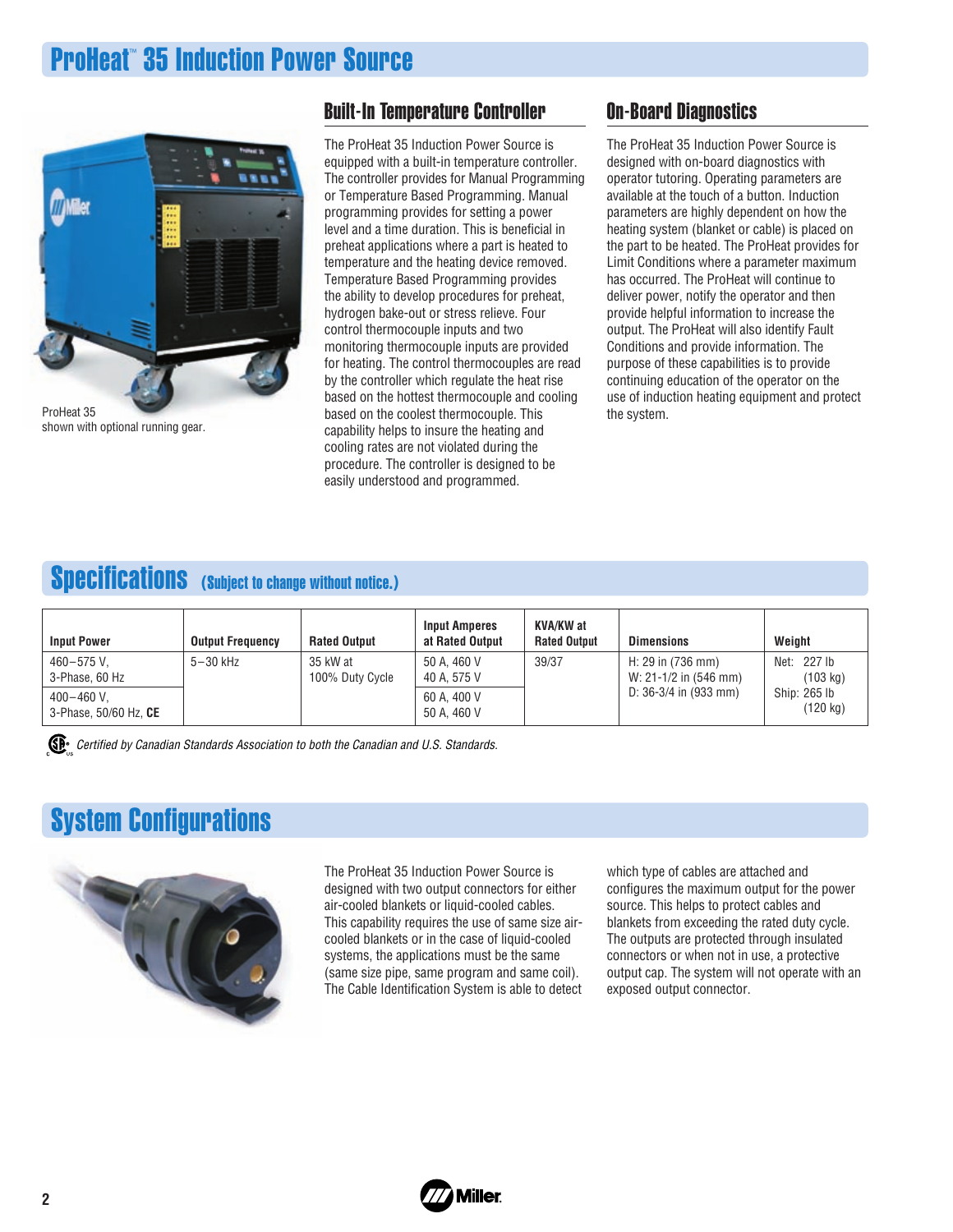# **ProHeat™ 35 Induction Power Source**



shown with optional running gear.

### Built-In Temperature Controller

The ProHeat 35 Induction Power Source is equipped with a built-in temperature controller. The controller provides for Manual Programming or Temperature Based Programming. Manual programming provides for setting a power level and a time duration. This is beneficial in preheat applications where a part is heated to temperature and the heating device removed. Temperature Based Programming provides the ability to develop procedures for preheat, hydrogen bake-out or stress relieve. Four control thermocouple inputs and two monitoring thermocouple inputs are provided for heating. The control thermocouples are read by the controller which regulate the heat rise based on the hottest thermocouple and cooling based on the coolest thermocouple. This capability helps to insure the heating and cooling rates are not violated during the procedure. The controller is designed to be easily understood and programmed.

## On-Board Diagnostics

The ProHeat 35 Induction Power Source is designed with on-board diagnostics with operator tutoring. Operating parameters are available at the touch of a button. Induction parameters are highly dependent on how the heating system (blanket or cable) is placed on the part to be heated. The ProHeat provides for Limit Conditions where a parameter maximum has occurred. The ProHeat will continue to deliver power, notify the operator and then provide helpful information to increase the output. The ProHeat will also identify Fault Conditions and provide information. The purpose of these capabilities is to provide continuing education of the operator on the use of induction heating equipment and protect the system.

# Specifications (Subject to change without notice.)

| <b>Input Power</b>                      | <b>Output Frequency</b> | <b>Rated Output</b>         | <b>Input Amperes</b><br>at Rated Output | <b>KVA/KW</b> at<br><b>Rated Output</b> | <b>Dimensions</b>                                        | Weight                             |
|-----------------------------------------|-------------------------|-----------------------------|-----------------------------------------|-----------------------------------------|----------------------------------------------------------|------------------------------------|
| 460-575 V.<br>3-Phase, 60 Hz            | $5-30$ kHz              | 35 kW at<br>100% Duty Cycle | 50 A. 460 V<br>40 A. 575 V              | 39/37                                   | H: $29$ in $(736$ mm)<br>W: 21-1/2 in $(546 \text{ mm})$ | Net: 227 lb<br>$(103 \text{ kg})$  |
| $400 - 460$ V.<br>3-Phase, 50/60 Hz, CE |                         |                             | 60 A. 400 V<br>50 A. 460 V              |                                         | D: $36-3/4$ in (933 mm)                                  | Ship: 265 lb<br>$(120 \text{ kg})$ |

CE<sup>®</sup> Certified by Canadian Standards Association to both the Canadian and U.S. Standards.

# System Configurations



The ProHeat 35 Induction Power Source is designed with two output connectors for either air-cooled blankets or liquid-cooled cables. This capability requires the use of same size aircooled blankets or in the case of liquid-cooled systems, the applications must be the same (same size pipe, same program and same coil). The Cable Identification System is able to detect which type of cables are attached and configures the maximum output for the power source. This helps to protect cables and blankets from exceeding the rated duty cycle. The outputs are protected through insulated connectors or when not in use, a protective output cap. The system will not operate with an exposed output connector.

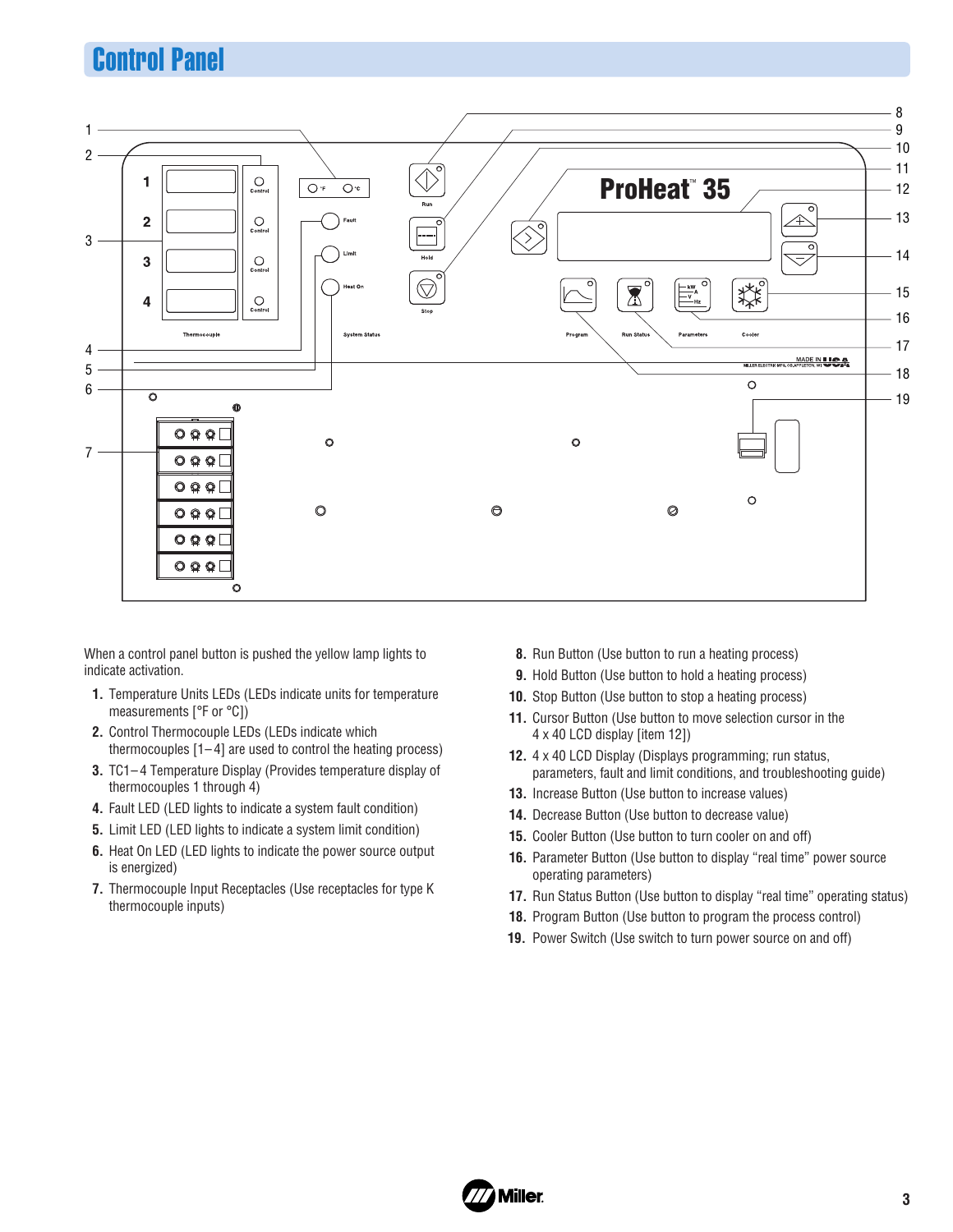# Control Panel



When a control panel button is pushed the yellow lamp lights to indicate activation.

- **1.** Temperature Units LEDs (LEDs indicate units for temperature measurements [°F or °C])
- **2.** Control Thermocouple LEDs (LEDs indicate which thermocouples  $[1-4]$  are used to control the heating process)
- **3.** TC1– 4 Temperature Display (Provides temperature display of thermocouples 1 through 4)
- **4.** Fault LED (LED lights to indicate a system fault condition)
- **5.** Limit LED (LED lights to indicate a system limit condition)
- **6.** Heat On LED (LED lights to indicate the power source output is energized)
- **7.** Thermocouple Input Receptacles (Use receptacles for type K thermocouple inputs)
- **8.** Run Button (Use button to run a heating process)
- **9.** Hold Button (Use button to hold a heating process)
- **10.** Stop Button (Use button to stop a heating process)
- **11.** Cursor Button (Use button to move selection cursor in the 4 x 40 LCD display [item 12])
- **12.** 4 x 40 LCD Display (Displays programming; run status, parameters, fault and limit conditions, and troubleshooting guide)
- **13.** Increase Button (Use button to increase values)
- **14.** Decrease Button (Use button to decrease value)
- **15.** Cooler Button (Use button to turn cooler on and off)
- **16.** Parameter Button (Use button to display "real time" power source operating parameters)
- **17.** Run Status Button (Use button to display "real time" operating status)
- **18.** Program Button (Use button to program the process control)
- **19.** Power Switch (Use switch to turn power source on and off)

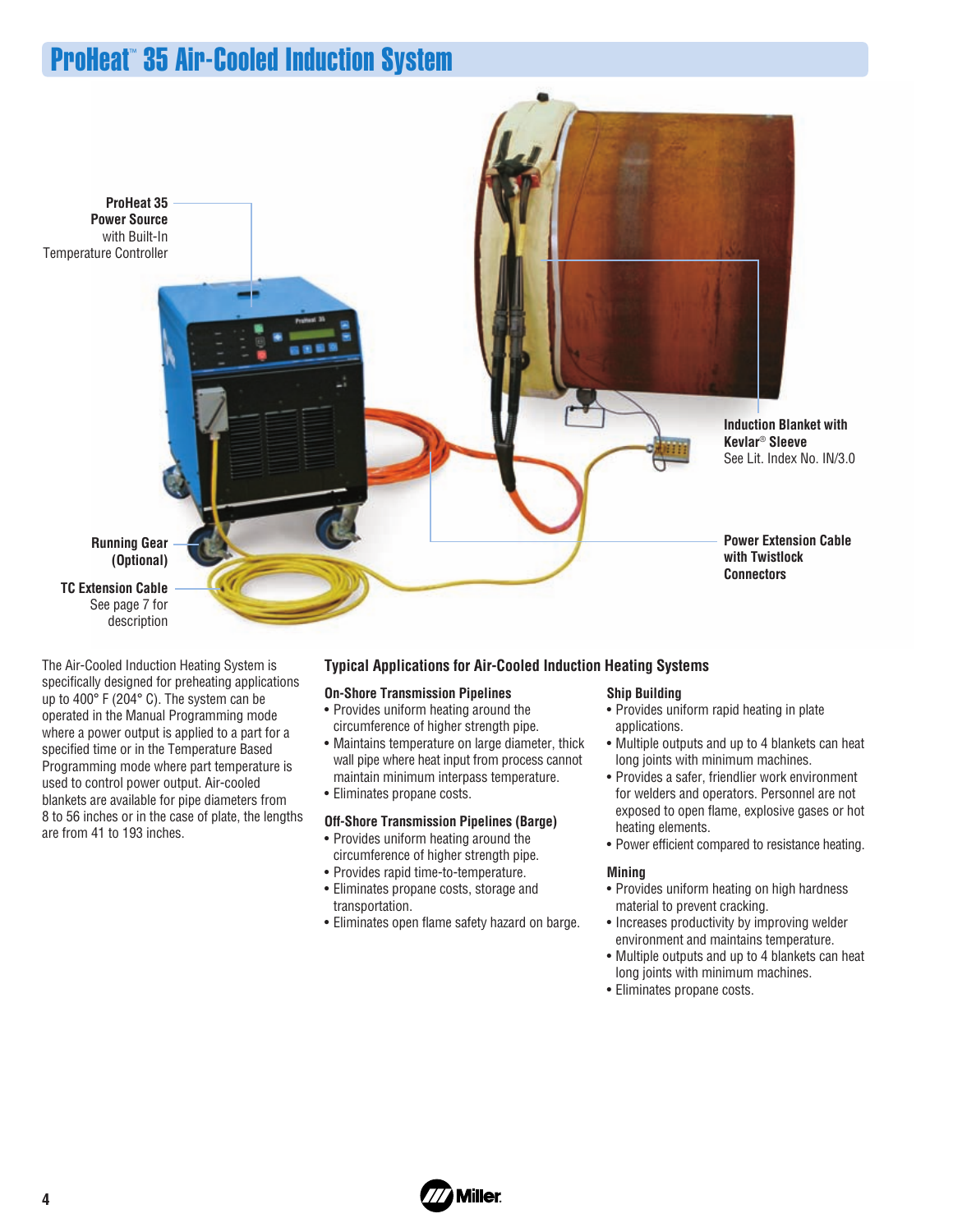# ProHeat™ 35 Air-Cooled Induction System



The Air-Cooled Induction Heating System is specifically designed for preheating applications up to 400° F (204° C). The system can be operated in the Manual Programming mode where a power output is applied to a part for a specified time or in the Temperature Based Programming mode where part temperature is used to control power output. Air-cooled blankets are available for pipe diameters from 8 to 56 inches or in the case of plate, the lengths are from 41 to 193 inches.

### **Typical Applications for Air-Cooled Induction Heating Systems**

#### **On-Shore Transmission Pipelines**

- Provides uniform heating around the circumference of higher strength pipe.
- Maintains temperature on large diameter, thick wall pipe where heat input from process cannot maintain minimum interpass temperature.
- Eliminates propane costs.

#### **Off-Shore Transmission Pipelines (Barge)**

- Provides uniform heating around the
- circumference of higher strength pipe.
- Provides rapid time-to-temperature.
- Eliminates propane costs, storage and transportation.
- Eliminates open flame safety hazard on barge.

#### **Ship Building**

- Provides uniform rapid heating in plate applications.
- Multiple outputs and up to 4 blankets can heat long joints with minimum machines.
- Provides a safer, friendlier work environment for welders and operators. Personnel are not exposed to open flame, explosive gases or hot heating elements.
- Power efficient compared to resistance heating.

#### **Mining**

- Provides uniform heating on high hardness material to prevent cracking.
- Increases productivity by improving welder environment and maintains temperature.
- Multiple outputs and up to 4 blankets can heat long joints with minimum machines.
- Eliminates propane costs.

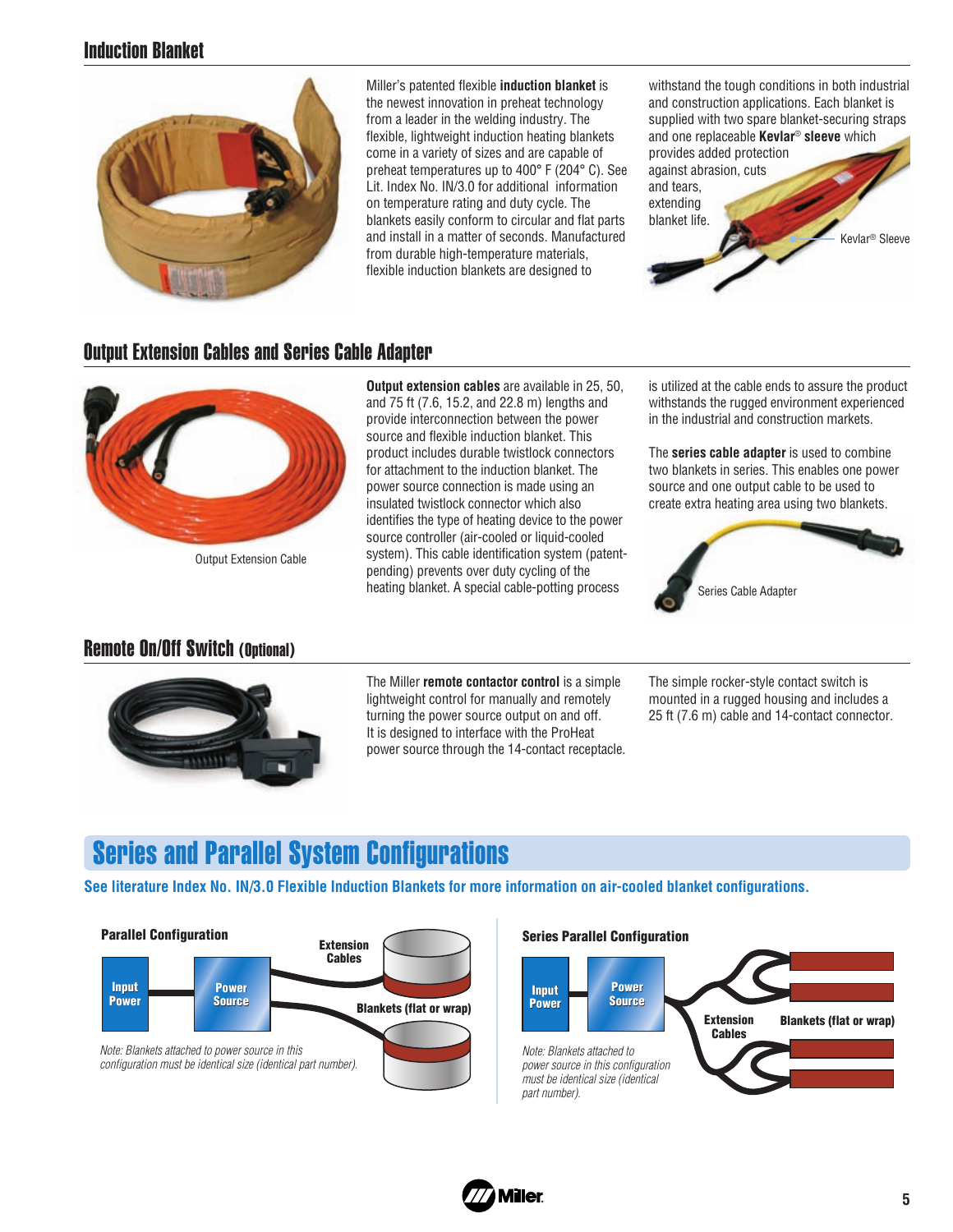# Induction Blanket



Miller's patented flexible **induction blanket** is the newest innovation in preheat technology from a leader in the welding industry. The flexible, lightweight induction heating blankets come in a variety of sizes and are capable of preheat temperatures up to 400° F (204° C). See Lit. Index No. IN/3.0 for additional information on temperature rating and duty cycle. The blankets easily conform to circular and flat parts and install in a matter of seconds. Manufactured from durable high-temperature materials, flexible induction blankets are designed to

withstand the tough conditions in both industrial and construction applications. Each blanket is supplied with two spare blanket-securing straps and one replaceable **Kevlar**® **sleeve** which provides added protection against abrasion, cuts and tears, extending blanket life. Kevlar® Sleeve

# Output Extension Cables and Series Cable Adapter



Output Extension Cable

# Remote On/Off Switch (Optional)



**Output extension cables** are available in 25, 50, and 75 ft (7.6, 15.2, and 22.8 m) lengths and provide interconnection between the power source and flexible induction blanket. This product includes durable twistlock connectors for attachment to the induction blanket. The power source connection is made using an insulated twistlock connector which also identifies the type of heating device to the power source controller (air-cooled or liquid-cooled system). This cable identification system (patentpending) prevents over duty cycling of the heating blanket. A special cable-potting process

is utilized at the cable ends to assure the product withstands the rugged environment experienced in the industrial and construction markets.

The **series cable adapter** is used to combine two blankets in series. This enables one power source and one output cable to be used to create extra heating area using two blankets.



The Miller **remote contactor control** is a simple lightweight control for manually and remotely turning the power source output on and off. It is designed to interface with the ProHeat power source through the 14-contact receptacle. The simple rocker-style contact switch is mounted in a rugged housing and includes a 25 ft (7.6 m) cable and 14-contact connector.

# Series and Parallel System Configurations

**See literature Index No. IN/3.0 Flexible Induction Blankets for more information on air-cooled blanket configurations.**



#### **Parallel Configuration Series Parallel Configuration**



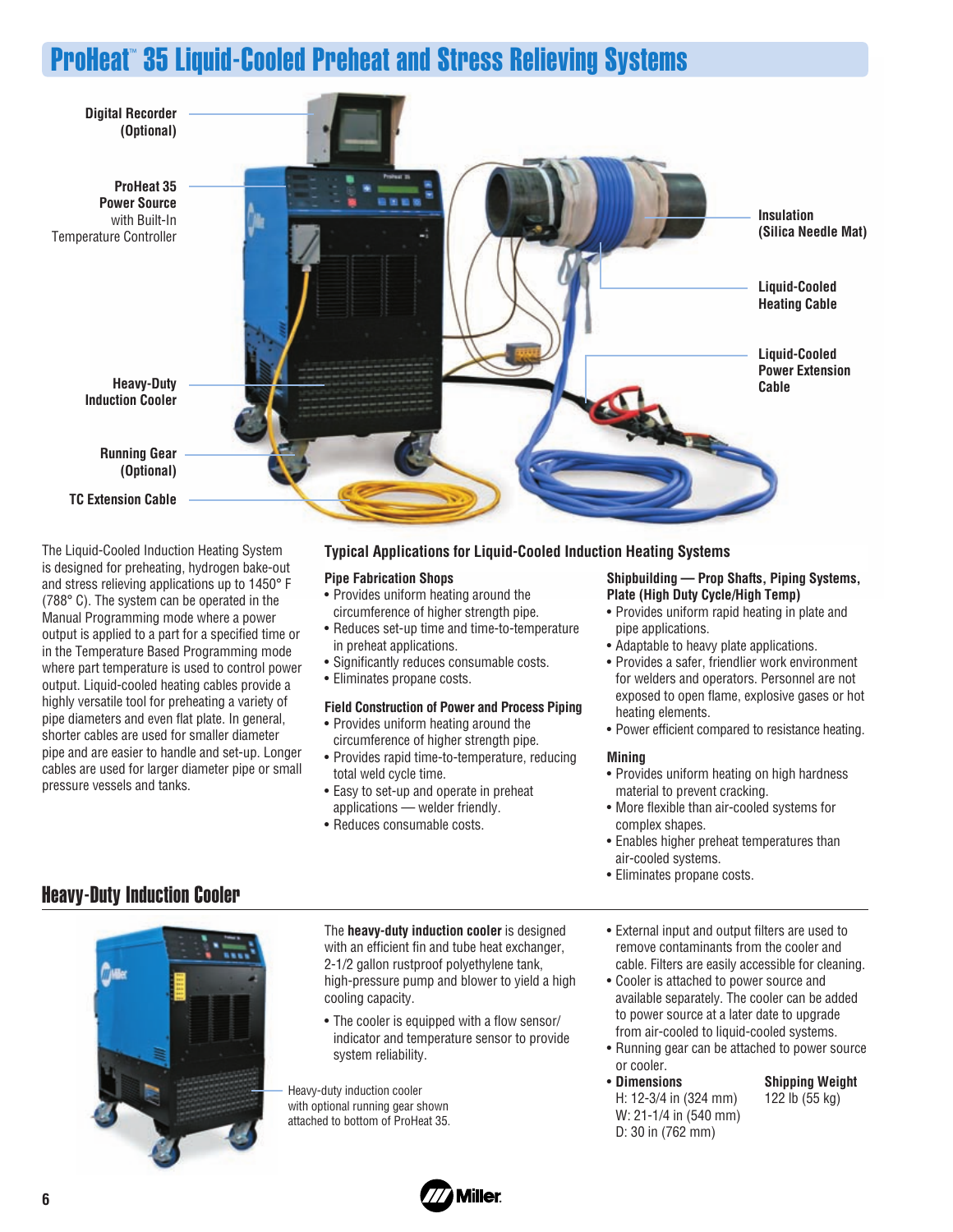# ProHeat™ 35 Liquid-Cooled Preheat and Stress Relieving Systems



The Liquid-Cooled Induction Heating System is designed for preheating, hydrogen bake-out and stress relieving applications up to 1450° F (788° C). The system can be operated in the Manual Programming mode where a power output is applied to a part for a specified time or in the Temperature Based Programming mode where part temperature is used to control power output. Liquid-cooled heating cables provide a highly versatile tool for preheating a variety of pipe diameters and even flat plate. In general, shorter cables are used for smaller diameter pipe and are easier to handle and set-up. Longer cables are used for larger diameter pipe or small pressure vessels and tanks.

#### **Typical Applications for Liquid-Cooled Induction Heating Systems**

#### **Pipe Fabrication Shops**

- Provides uniform heating around the circumference of higher strength pipe.
- Reduces set-up time and time-to-temperature in preheat applications.
- Significantly reduces consumable costs.
- Eliminates propane costs.

#### **Field Construction of Power and Process Piping**

- Provides uniform heating around the circumference of higher strength pipe.
- Provides rapid time-to-temperature, reducing total weld cycle time.
- Easy to set-up and operate in preheat applications — welder friendly.
- Reduces consumable costs.

#### **Shipbuilding — Prop Shafts, Piping Systems, Plate (High Duty Cycle/High Temp)**

- Provides uniform rapid heating in plate and pipe applications.
- Adaptable to heavy plate applications.
- Provides a safer, friendlier work environment for welders and operators. Personnel are not exposed to open flame, explosive gases or hot heating elements.
- Power efficient compared to resistance heating.

#### **Mining**

- Provides uniform heating on high hardness material to prevent cracking.
- More flexible than air-cooled systems for complex shapes.
- Enables higher preheat temperatures than air-cooled systems.
- Eliminates propane costs.

# Heavy-Duty Induction Cooler



The **heavy-duty induction cooler** is designed with an efficient fin and tube heat exchanger, 2-1/2 gallon rustproof polyethylene tank, high-pressure pump and blower to yield a high cooling capacity.

• The cooler is equipped with a flow sensor/ indicator and temperature sensor to provide system reliability.

Heavy-duty induction cooler with optional running gear shown attached to bottom of ProHeat 35.

- External input and output filters are used to remove contaminants from the cooler and cable. Filters are easily accessible for cleaning.
- Cooler is attached to power source and available separately. The cooler can be added to power source at a later date to upgrade from air-cooled to liquid-cooled systems.
- Running gear can be attached to power source or cooler.
- **Dimensions Shipping Weight** H: 12-3/4 in (324 mm) 122 lb (55 kg) W: 21-1/4 in (540 mm) D: 30 in (762 mm)
- 

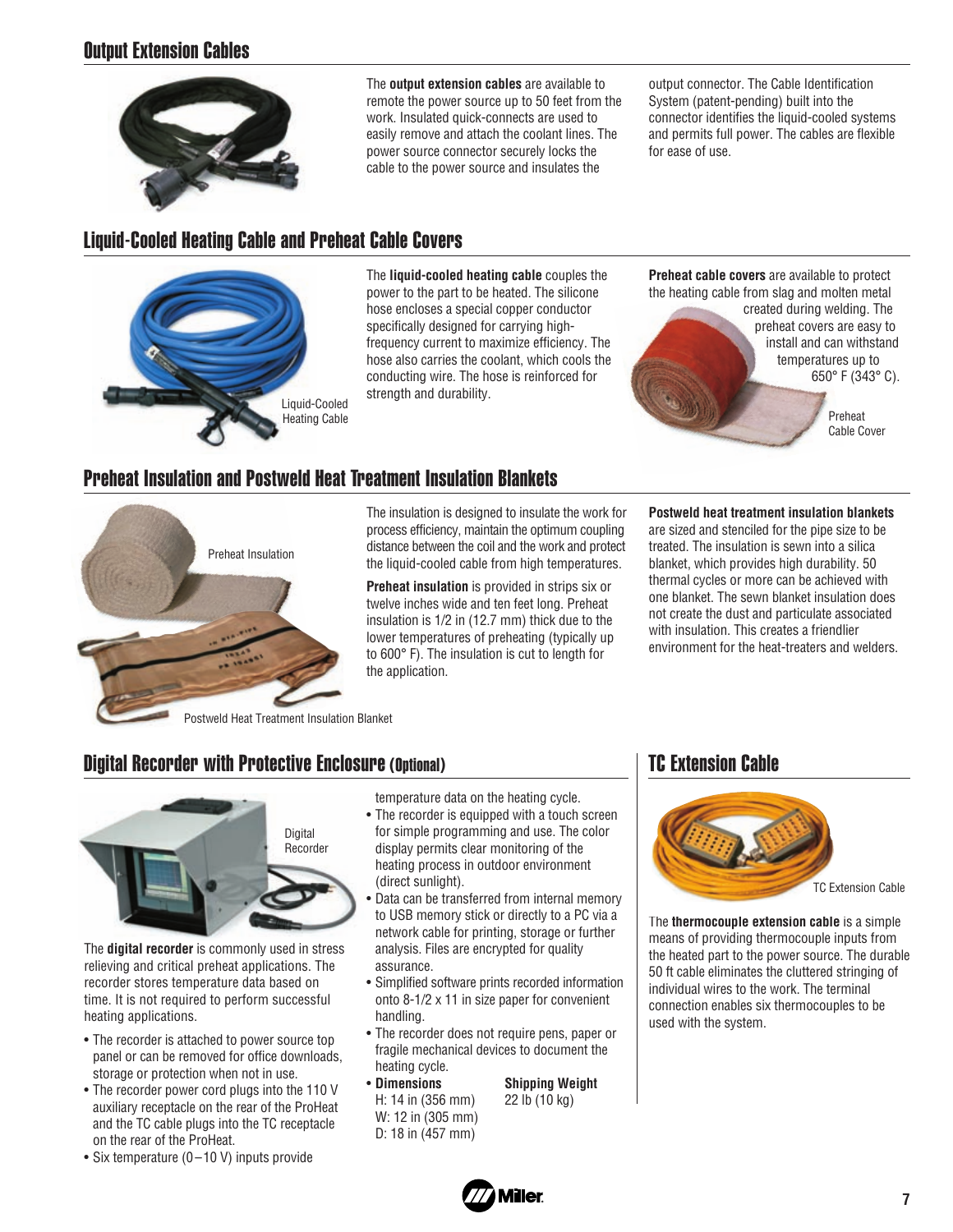# Output Extension Cables



The **output extension cables** are available to remote the power source up to 50 feet from the work. Insulated quick-connects are used to easily remove and attach the coolant lines. The power source connector securely locks the cable to the power source and insulates the

output connector. The Cable Identification System (patent-pending) built into the connector identifies the liquid-cooled systems and permits full power. The cables are flexible for ease of use.

# Liquid-Cooled Heating Cable and Preheat Cable Covers



The **liquid-cooled heating cable** couples the power to the part to be heated. The silicone hose encloses a special copper conductor specifically designed for carrying highfrequency current to maximize efficiency. The hose also carries the coolant, which cools the conducting wire. The hose is reinforced for strength and durability.

### Preheat Insulation and Postweld Heat Treatment Insulation Blankets



The insulation is designed to insulate the work for process efficiency, maintain the optimum coupling distance between the coil and the work and protect the liquid-cooled cable from high temperatures.

**Preheat insulation** is provided in strips six or twelve inches wide and ten feet long. Preheat insulation is 1/2 in (12.7 mm) thick due to the lower temperatures of preheating (typically up to 600° F). The insulation is cut to length for the application.

**Preheat cable covers** are available to protect the heating cable from slag and molten metal created during welding. The

preheat covers are easy to install and can withstand temperatures up to 650° F (343° C). Preheat Cable Cover

**Postweld heat treatment insulation blankets**

are sized and stenciled for the pipe size to be treated. The insulation is sewn into a silica blanket, which provides high durability. 50 thermal cycles or more can be achieved with one blanket. The sewn blanket insulation does not create the dust and particulate associated with insulation. This creates a friendlier environment for the heat-treaters and welders.

#### Postweld Heat Treatment Insulation Blanket

# Digital Recorder with Protective Enclosure (Optional)



The **digital recorder** is commonly used in stress relieving and critical preheat applications. The recorder stores temperature data based on time. It is not required to perform successful heating applications.

- The recorder is attached to power source top panel or can be removed for office downloads, storage or protection when not in use.
- The recorder power cord plugs into the 110 V auxiliary receptacle on the rear of the ProHeat and the TC cable plugs into the TC receptacle on the rear of the ProHeat.
- Six temperature (0-10 V) inputs provide

temperature data on the heating cycle.

- The recorder is equipped with a touch screen for simple programming and use. The color display permits clear monitoring of the heating process in outdoor environment (direct sunlight).
- Data can be transferred from internal memory to USB memory stick or directly to a PC via a network cable for printing, storage or further analysis. Files are encrypted for quality assurance.
- Simplified software prints recorded information onto 8-1/2 x 11 in size paper for convenient handling.
- The recorder does not require pens, paper or fragile mechanical devices to document the heating cycle.
- **Dimensions Shipping Weight** H: 14 in (356 mm) 22 lb (10 kg) W: 12 in (305 mm) D: 18 in (457 mm)

### TC Extension Cable



The **thermocouple extension cable** is a simple means of providing thermocouple inputs from the heated part to the power source. The durable 50 ft cable eliminates the cluttered stringing of individual wires to the work. The terminal connection enables six thermocouples to be used with the system.